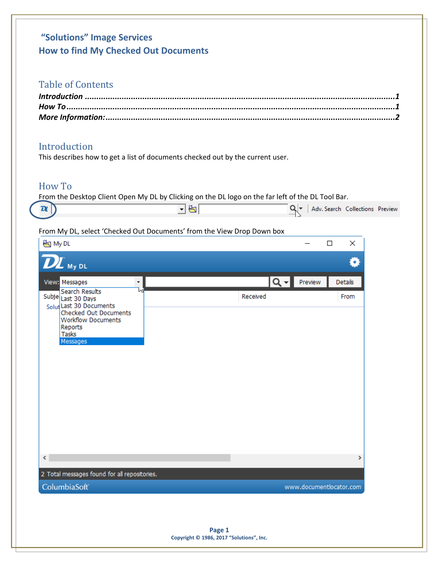# **"Solutions" Image Services How to find My Checked Out Documents**

# Table of Contents

## <span id="page-0-0"></span>Introduction

This describes how to get a list of documents checked out by the current user.

## <span id="page-0-1"></span>How To

From the Desktop Client Open My DL by Clicking on the DL logo on the far left of the DL Tool Bar.

|  |  |  |  | Collections<br>Adv. Search<br>Preview |
|--|--|--|--|---------------------------------------|
|--|--|--|--|---------------------------------------|

#### From My DL, select 'Checked Out Documents' from the View Drop Down box

| View: Messages<br>$\bar{\phantom{a}}$                                                                                                                                     | Q v Preview | Details       |
|---------------------------------------------------------------------------------------------------------------------------------------------------------------------------|-------------|---------------|
| <b>Search Results</b><br>lл<br>Subje Last 30 Days<br>Solut Last 30 Documents<br>Checked Out Documents<br><b>Workflow Documents</b><br>Reports<br><b>Tasks</b><br>Messages | Received    | From          |
| $\leq$<br>2 Total messages found for all repositories.                                                                                                                    |             | $\rightarrow$ |
|                                                                                                                                                                           |             |               |